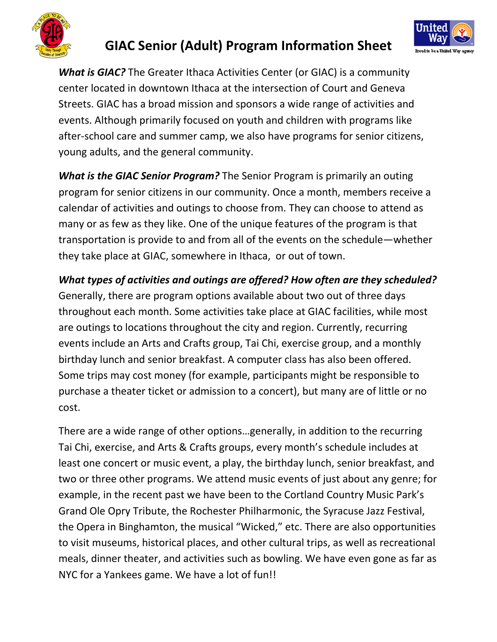

## GIAC Senior (Adult) Program Information Sheet



What is GIAC? The Greater Ithaca Activities Center (or GIAC) is a community center located in downtown Ithaca at the intersection of Court and Geneva Streets. GIAC has a broad mission and sponsors a wide range of activities and events. Although primarily focused on youth and children with programs like after-school care and summer camp, we also have programs for senior citizens, young adults, and the general community.

What is the GIAC Senior Program? The Senior Program is primarily an outing program for senior citizens in our community. Once a month, members receive a calendar of activities and outings to choose from. They can choose to attend as many or as few as they like. One of the unique features of the program is that transportation is provide to and from all of the events on the schedule—whether they take place at GIAC, somewhere in Ithaca, or out of town.

What types of activities and outings are offered? How often are they scheduled? Generally, there are program options available about two out of three days throughout each month. Some activities take place at GIAC facilities, while most are outings to locations throughout the city and region. Currently, recurring events include an Arts and Crafts group, Tai Chi, exercise group, and a monthly birthday lunch and senior breakfast. A computer class has also been offered. Some trips may cost money (for example, participants might be responsible to purchase a theater ticket or admission to a concert), but many are of little or no cost.

There are a wide range of other options…generally, in addition to the recurring Tai Chi, exercise, and Arts & Crafts groups, every month's schedule includes at least one concert or music event, a play, the birthday lunch, senior breakfast, and two or three other programs. We attend music events of just about any genre; for example, in the recent past we have been to the Cortland Country Music Park's Grand Ole Opry Tribute, the Rochester Philharmonic, the Syracuse Jazz Festival, the Opera in Binghamton, the musical "Wicked," etc. There are also opportunities to visit museums, historical places, and other cultural trips, as well as recreational meals, dinner theater, and activities such as bowling. We have even gone as far as NYC for a Yankees game. We have a lot of fun!!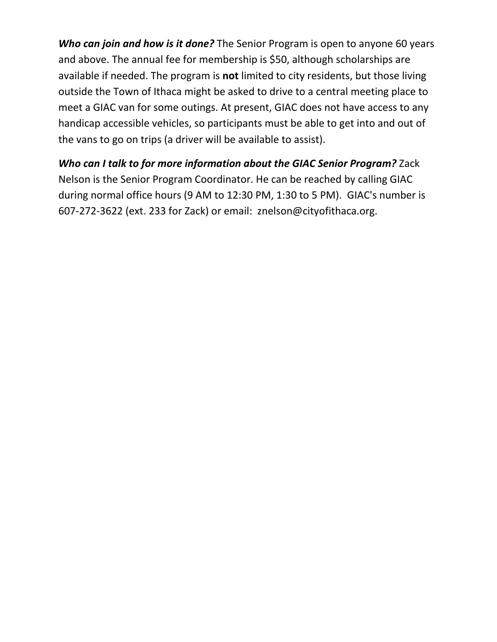Who can join and how is it done? The Senior Program is open to anyone 60 years and above. The annual fee for membership is \$50, although scholarships are available if needed. The program is not limited to city residents, but those living outside the Town of Ithaca might be asked to drive to a central meeting place to meet a GIAC van for some outings. At present, GIAC does not have access to any handicap accessible vehicles, so participants must be able to get into and out of the vans to go on trips (a driver will be available to assist).

## Who can I talk to for more information about the GIAC Senior Program? Zack Nelson is the Senior Program Coordinator. He can be reached by calling GIAC during normal office hours (9 AM to 12:30 PM, 1:30 to 5 PM). GIAC's number is 607-272-3622 (ext. 233 for Zack) or email: znelson@cityofithaca.org.